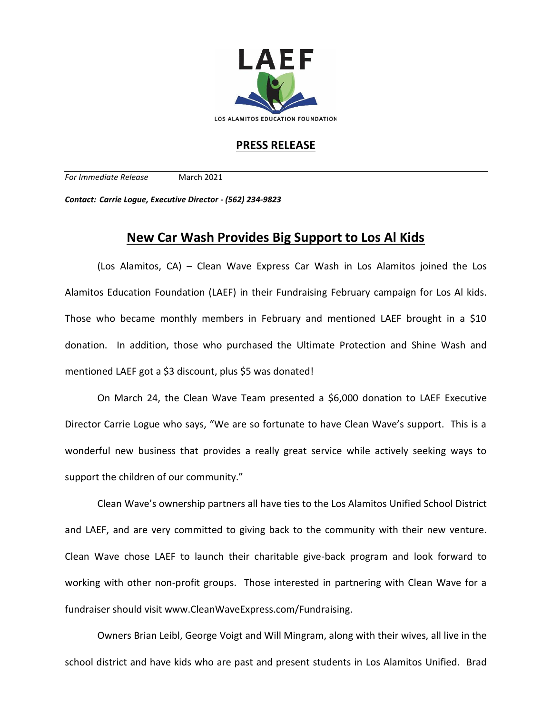

## **PRESS RELEASE**

*For Immediate Release* March 2021

*Contact: Carrie Logue, Executive Director - (562) 234-9823*

## **New Car Wash Provides Big Support to Los Al Kids**

(Los Alamitos, CA) – Clean Wave Express Car Wash in Los Alamitos joined the Los Alamitos Education Foundation (LAEF) in their Fundraising February campaign for Los Al kids. Those who became monthly members in February and mentioned LAEF brought in a \$10 donation. In addition, those who purchased the Ultimate Protection and Shine Wash and mentioned LAEF got a \$3 discount, plus \$5 was donated!

On March 24, the Clean Wave Team presented a \$6,000 donation to LAEF Executive Director Carrie Logue who says, "We are so fortunate to have Clean Wave's support. This is a wonderful new business that provides a really great service while actively seeking ways to support the children of our community."

Clean Wave's ownership partners all have ties to the Los Alamitos Unified School District and LAEF, and are very committed to giving back to the community with their new venture. Clean Wave chose LAEF to launch their charitable give-back program and look forward to working with other non-profit groups. Those interested in partnering with Clean Wave for a fundraiser should visit www.CleanWaveExpress.com/Fundraising.

Owners Brian Leibl, George Voigt and Will Mingram, along with their wives, all live in the school district and have kids who are past and present students in Los Alamitos Unified. Brad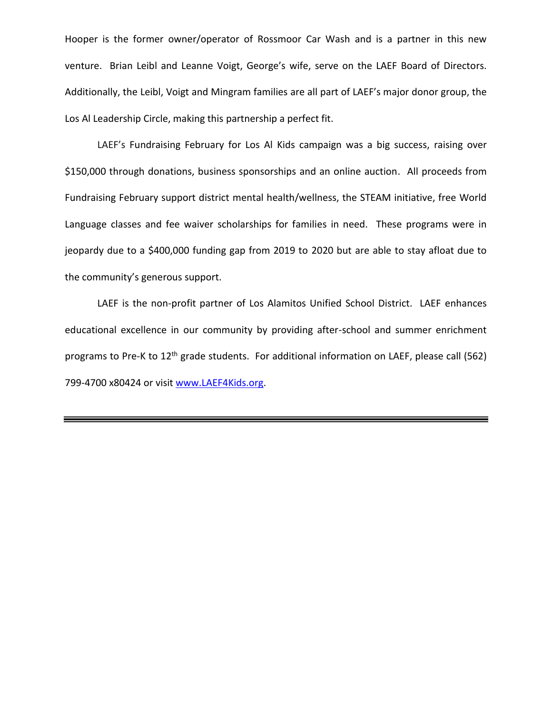Hooper is the former owner/operator of Rossmoor Car Wash and is a partner in this new venture. Brian Leibl and Leanne Voigt, George's wife, serve on the LAEF Board of Directors. Additionally, the Leibl, Voigt and Mingram families are all part of LAEF's major donor group, the Los Al Leadership Circle, making this partnership a perfect fit.

LAEF's Fundraising February for Los Al Kids campaign was a big success, raising over \$150,000 through donations, business sponsorships and an online auction. All proceeds from Fundraising February support district mental health/wellness, the STEAM initiative, free World Language classes and fee waiver scholarships for families in need. These programs were in jeopardy due to a \$400,000 funding gap from 2019 to 2020 but are able to stay afloat due to the community's generous support.

LAEF is the non-profit partner of Los Alamitos Unified School District. LAEF enhances educational excellence in our community by providing after-school and summer enrichment programs to Pre-K to 12<sup>th</sup> grade students. For additional information on LAEF, please call (562) 799-4700 x80424 or visit [www.LAEF4Kids.org.](http://www.laef4kids.org/)